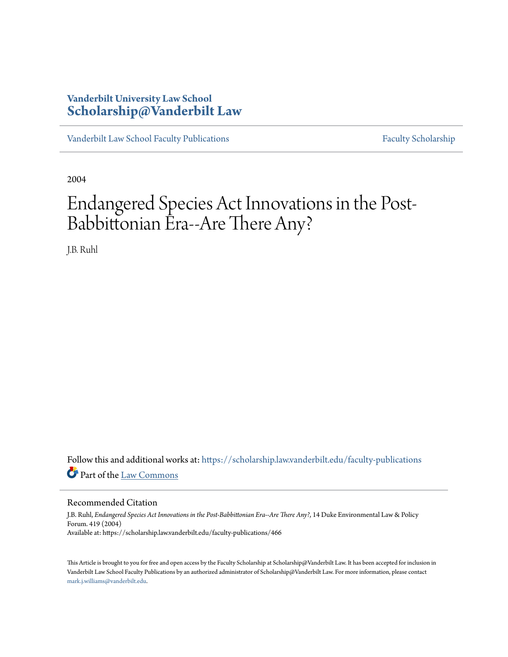# **Vanderbilt University Law School [Scholarship@Vanderbilt Law](https://scholarship.law.vanderbilt.edu/?utm_source=scholarship.law.vanderbilt.edu%2Ffaculty-publications%2F466&utm_medium=PDF&utm_campaign=PDFCoverPages)**

[Vanderbilt Law School Faculty Publications](https://scholarship.law.vanderbilt.edu/faculty-publications?utm_source=scholarship.law.vanderbilt.edu%2Ffaculty-publications%2F466&utm_medium=PDF&utm_campaign=PDFCoverPages) [Faculty Scholarship](https://scholarship.law.vanderbilt.edu/faculty-scholarship?utm_source=scholarship.law.vanderbilt.edu%2Ffaculty-publications%2F466&utm_medium=PDF&utm_campaign=PDFCoverPages)

2004

# Endangered Species Act Innovations in the Post-Babbittonian Era--Are There Any?

J.B. Ruhl

Follow this and additional works at: [https://scholarship.law.vanderbilt.edu/faculty-publications](https://scholarship.law.vanderbilt.edu/faculty-publications?utm_source=scholarship.law.vanderbilt.edu%2Ffaculty-publications%2F466&utm_medium=PDF&utm_campaign=PDFCoverPages) Part of the [Law Commons](http://network.bepress.com/hgg/discipline/578?utm_source=scholarship.law.vanderbilt.edu%2Ffaculty-publications%2F466&utm_medium=PDF&utm_campaign=PDFCoverPages)

## Recommended Citation

J.B. Ruhl, *Endangered Species Act Innovations in the Post-Babbittonian Era--Are There Any?*, 14 Duke Environmental Law & Policy Forum. 419 (2004) Available at: https://scholarship.law.vanderbilt.edu/faculty-publications/466

This Article is brought to you for free and open access by the Faculty Scholarship at Scholarship@Vanderbilt Law. It has been accepted for inclusion in Vanderbilt Law School Faculty Publications by an authorized administrator of Scholarship@Vanderbilt Law. For more information, please contact [mark.j.williams@vanderbilt.edu](mailto:mark.j.williams@vanderbilt.edu).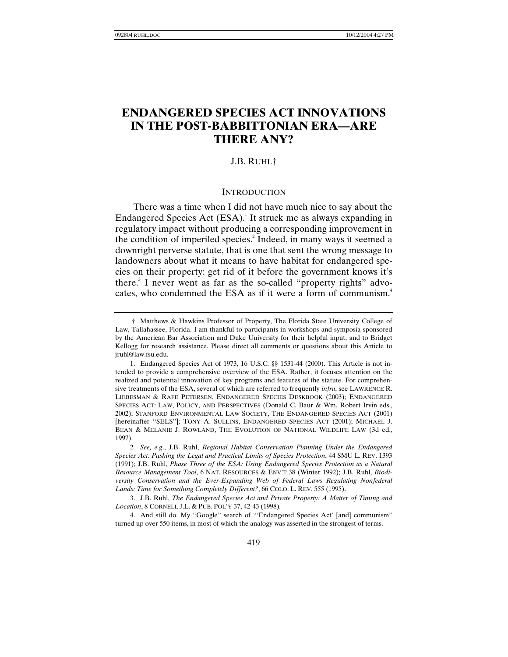# **ENDANGERED SPECIES ACT INNOVATIONS IN THE POST-BABBITTONIAN ERA—ARE THERE ANY?**

# J.B. RUHL†

#### **INTRODUCTION**

There was a time when I did not have much nice to say about the Endangered Species Act  $(ESA)^1$  It struck me as always expanding in regulatory impact without producing a corresponding improvement in the condition of imperiled species.<sup>2</sup> Indeed, in many ways it seemed a downright perverse statute, that is one that sent the wrong message to landowners about what it means to have habitat for endangered species on their property: get rid of it before the government knows it's there.<sup>3</sup> I never went as far as the so-called "property rights" advocates, who condemned the ESA as if it were a form of communism.<sup>4</sup>

 <sup>†</sup> Matthews & Hawkins Professor of Property, The Florida State University College of Law, Tallahassee, Florida. I am thankful to participants in workshops and symposia sponsored by the American Bar Association and Duke University for their helpful input, and to Bridget Kellogg for research assistance. Please direct all comments or questions about this Article to jruhl@law.fsu.edu.

 <sup>1.</sup> Endangered Species Act of 1973, 16 U.S.C. §§ 1531-44 (2000). This Article is not intended to provide a comprehensive overview of the ESA. Rather, it focuses attention on the realized and potential innovation of key programs and features of the statute. For comprehensive treatments of the ESA, several of which are referred to frequently *infra*, see LAWRENCE R. LIEBESMAN & RAFE PETERSEN, ENDANGERED SPECIES DESKBOOK (2003); ENDANGERED SPECIES ACT: LAW, POLICY, AND PERSPECTIVES (Donald C. Baur & Wm. Robert Irvin eds., 2002); STANFORD ENVIRONMENTAL LAW SOCIETY, THE ENDANGERED SPECIES ACT (2001) [hereinafter "SELS"]; TONY A. SULLINS, ENDANGERED SPECIES ACT (2001); MICHAEL J. BEAN & MELANIE J. ROWLAND, THE EVOLUTION OF NATIONAL WILDLIFE LAW (3d ed., 1997).

<sup>2</sup>*. See, e.g*., J.B. Ruhl, *Regional Habitat Conservation Planning Under the Endangered Species Act: Pushing the Legal and Practical Limits of Species Protection*, 44 SMU L. REV. 1393 (1991); J.B. Ruhl, *Phase Three of the ESA: Using Endangered Species Protection as a Natural Resource Management Tool*, 6 NAT. RESOURCES & ENV'T 38 (Winter 1992); J.B. Ruhl, *Biodi*versity Conservation and the Ever-Expanding Web of Federal Laws Regulating Nonfederal *Lands: Time for Something Completely Different?*, 66 COLO. L. REV. 555 (1995).

 <sup>3.</sup> J.B. Ruhl, *The Endangered Species Act and Private Property: A Matter of Timing and Location*, 8 CORNELL J.L. & PUB. POL'Y 37, 42-43 (1998).

 <sup>4.</sup> And still do. My "Google" search of "'Endangered Species Act' [and] communism" turned up over 550 items, in most of which the analogy was asserted in the strongest of terms.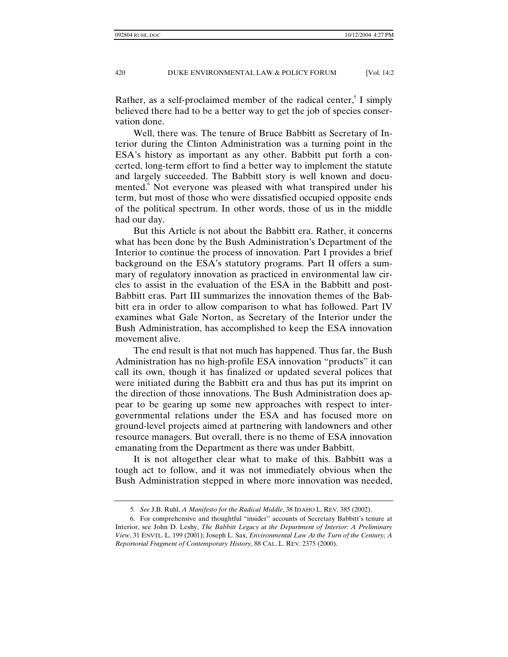Rather, as a self-proclaimed member of the radical center,  $\frac{1}{2}$  I simply believed there had to be a better way to get the job of species conservation done.

Well, there was. The tenure of Bruce Babbitt as Secretary of Interior during the Clinton Administration was a turning point in the ESA's history as important as any other. Babbitt put forth a concerted, long-term effort to find a better way to implement the statute and largely succeeded. The Babbitt story is well known and documented.<sup>6</sup> Not everyone was pleased with what transpired under his term, but most of those who were dissatisfied occupied opposite ends of the political spectrum. In other words, those of us in the middle had our day.

But this Article is not about the Babbitt era. Rather, it concerns what has been done by the Bush Administration's Department of the Interior to continue the process of innovation. Part I provides a brief background on the ESA's statutory programs. Part II offers a summary of regulatory innovation as practiced in environmental law circles to assist in the evaluation of the ESA in the Babbitt and post-Babbitt eras. Part III summarizes the innovation themes of the Babbitt era in order to allow comparison to what has followed. Part IV examines what Gale Norton, as Secretary of the Interior under the Bush Administration, has accomplished to keep the ESA innovation movement alive.

The end result is that not much has happened. Thus far, the Bush Administration has no high-profile ESA innovation "products" it can call its own, though it has finalized or updated several polices that were initiated during the Babbitt era and thus has put its imprint on the direction of those innovations. The Bush Administration does appear to be gearing up some new approaches with respect to intergovernmental relations under the ESA and has focused more on ground-level projects aimed at partnering with landowners and other resource managers. But overall, there is no theme of ESA innovation emanating from the Department as there was under Babbitt.

It is not altogether clear what to make of this. Babbitt was a tough act to follow, and it was not immediately obvious when the Bush Administration stepped in where more innovation was needed,

<sup>5</sup>*. See* J.B. Ruhl, *A Manifesto for the Radical Middle*, 38 IDAHO L. REV. 385 (2002).

 <sup>6.</sup> For comprehensive and thoughtful "insider" accounts of Secretary Babbitt's tenure at Interior, see John D. Leshy, *The Babbitt Legacy at the Department of Interior: A Preliminary View*, 31 ENVTL. L. 199 (2001); Joseph L. Sax, *Environmental Law At the Turn of the Century; A Reportorial Fragment of Contemporary History*, 88 CAL. L. REV. 2375 (2000).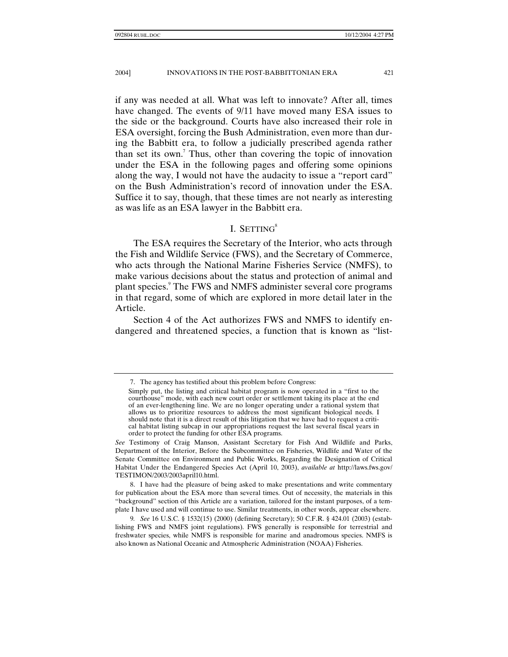if any was needed at all. What was left to innovate? After all, times have changed. The events of 9/11 have moved many ESA issues to the side or the background. Courts have also increased their role in ESA oversight, forcing the Bush Administration, even more than during the Babbitt era, to follow a judicially prescribed agenda rather than set its own.<sup>7</sup> Thus, other than covering the topic of innovation under the ESA in the following pages and offering some opinions along the way, I would not have the audacity to issue a "report card" on the Bush Administration's record of innovation under the ESA. Suffice it to say, though, that these times are not nearly as interesting as was life as an ESA lawyer in the Babbitt era.

# I. SETTING $8$

The ESA requires the Secretary of the Interior, who acts through the Fish and Wildlife Service (FWS), and the Secretary of Commerce, who acts through the National Marine Fisheries Service (NMFS), to make various decisions about the status and protection of animal and plant species.<sup>9</sup> The FWS and NMFS administer several core programs in that regard, some of which are explored in more detail later in the Article.

Section 4 of the Act authorizes FWS and NMFS to identify endangered and threatened species, a function that is known as "list-

 <sup>7.</sup> The agency has testified about this problem before Congress:

Simply put, the listing and critical habitat program is now operated in a "first to the courthouse" mode, with each new court order or settlement taking its place at the end of an ever-lengthening line. We are no longer operating under a rational system that allows us to prioritize resources to address the most significant biological needs. I should note that it is a direct result of this litigation that we have had to request a critical habitat listing subcap in our appropriations request the last several fiscal years in order to protect the funding for other ESA programs.

*See* Testimony of Craig Manson, Assistant Secretary for Fish And Wildlife and Parks, Department of the Interior, Before the Subcommittee on Fisheries, Wildlife and Water of the Senate Committee on Environment and Public Works, Regarding the Designation of Critical Habitat Under the Endangered Species Act (April 10, 2003), *available at* http://laws.fws.gov/ TESTIMON/2003/2003april10.html.

 <sup>8.</sup> I have had the pleasure of being asked to make presentations and write commentary for publication about the ESA more than several times. Out of necessity, the materials in this "background" section of this Article are a variation, tailored for the instant purposes, of a template I have used and will continue to use. Similar treatments, in other words, appear elsewhere.

<sup>9</sup>*. See* 16 U.S.C. § 1532(15) (2000) (defining Secretary); 50 C.F.R. § 424.01 (2003) (establishing FWS and NMFS joint regulations). FWS generally is responsible for terrestrial and freshwater species, while NMFS is responsible for marine and anadromous species. NMFS is also known as National Oceanic and Atmospheric Administration (NOAA) Fisheries.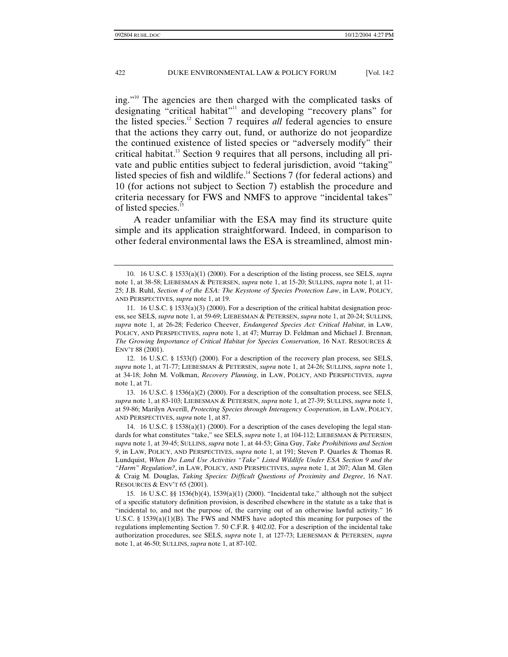ing."10 The agencies are then charged with the complicated tasks of designating "critical habitat"<sup>11</sup> and developing "recovery plans" for the listed species.12 Section 7 requires *all* federal agencies to ensure that the actions they carry out, fund, or authorize do not jeopardize the continued existence of listed species or "adversely modify" their critical habitat.<sup>13</sup> Section 9 requires that all persons, including all private and public entities subject to federal jurisdiction, avoid "taking" listed species of fish and wildlife.<sup>14</sup> Sections 7 (for federal actions) and 10 (for actions not subject to Section 7) establish the procedure and criteria necessary for FWS and NMFS to approve "incidental takes" of listed species.<sup>15</sup>

A reader unfamiliar with the ESA may find its structure quite simple and its application straightforward. Indeed, in comparison to other federal environmental laws the ESA is streamlined, almost min-

 13. 16 U.S.C. § 1536(a)(2) (2000). For a description of the consultation process, see SELS, *supra* note 1, at 83-103; LIEBESMAN & PETERSEN, *supra* note 1, at 27-39; SULLINS, *supra* note 1, at 59-86; Marilyn Averill, *Protecting Species through Interagency Cooperation*, in LAW, POLICY, AND PERSPECTIVES, *supra* note 1, at 87.

 14. 16 U.S.C. § 1538(a)(1) (2000). For a description of the cases developing the legal standards for what constitutes "take," see SELS, *supra* note 1, at 104-112; LIEBESMAN & PETERSEN, *supra* note 1, at 39-45; SULLINS, *supra* note 1, at 44-53; Gina Guy, *Take Prohibitions and Section 9*, in LAW, POLICY, AND PERSPECTIVES, *supra* note 1, at 191; Steven P. Quarles & Thomas R. Lundquist, *When Do Land Use Activities "Take" Listed Wildlife Under ESA Section 9 and the "Harm" Regulation?*, in LAW, POLICY, AND PERSPECTIVES, *supra* note 1, at 207; Alan M. Glen & Craig M. Douglas, *Taking Species: Difficult Questions of Proximity and Degree*, 16 NAT. RESOURCES & ENV'T 65 (2001).

 15. 16 U.S.C. §§ 1536(b)(4), 1539(a)(1) (2000). "Incidental take," although not the subject of a specific statutory definition provision, is described elsewhere in the statute as a take that is "incidental to, and not the purpose of, the carrying out of an otherwise lawful activity." 16 U.S.C. § 1539(a)(1)(B). The FWS and NMFS have adopted this meaning for purposes of the regulations implementing Section 7. 50 C.F.R. § 402.02. For a description of the incidental take authorization procedures, see SELS, *supra* note 1, at 127-73; LIEBESMAN & PETERSEN, *supra* note 1, at 46-50; SULLINS, *supra* note 1, at 87-102.

 <sup>10. 16</sup> U.S.C. § 1533(a)(1) (2000). For a description of the listing process, see SELS, *supra* note 1, at 38-58; LIEBESMAN & PETERSEN, *supra* note 1, at 15-20; SULLINS, *supra* note 1, at 11- 25; J.B. Ruhl, *Section 4 of the ESA: The Keystone of Species Protection Law*, in LAW, POLICY, AND PERSPECTIVES, *supra* note 1, at 19.

 <sup>11. 16</sup> U.S.C. § 1533(a)(3) (2000). For a description of the critical habitat designation process, see SELS, *supra* note 1, at 59-69; LIEBESMAN & PETERSEN, *supra* note 1, at 20-24; SULLINS, *supra* note 1, at 26-28; Federico Cheever, *Endangered Species Act: Critical Habitat*, in LAW, POLICY, AND PERSPECTIVES, *supra* note 1, at 47; Murray D. Feldman and Michael J. Brennan, *The Growing Importance of Critical Habitat for Species Conservation*, 16 NAT. RESOURCES & ENV'T 88 (2001).

 <sup>12. 16</sup> U.S.C. § 1533(f) (2000). For a description of the recovery plan process, see SELS, *supra* note 1, at 71-77; LIEBESMAN & PETERSEN, *supra* note 1, at 24-26; SULLINS, *supra* note 1, at 34-18; John M. Volkman, *Recovery Planning*, in LAW, POLICY, AND PERSPECTIVES, *supra* note 1, at 71.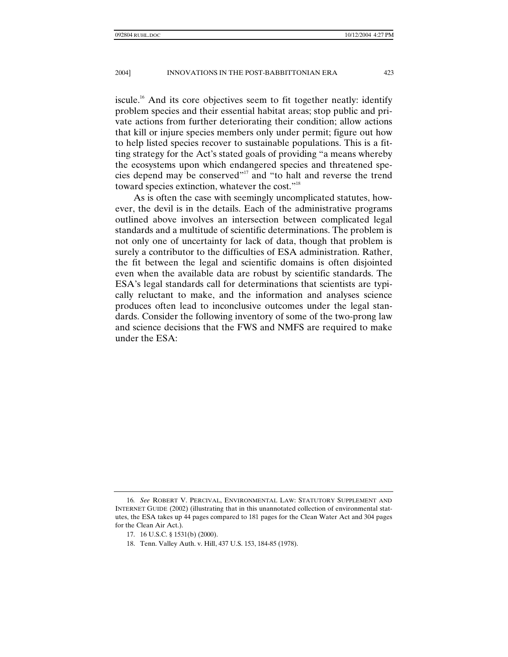iscule.<sup>16</sup> And its core objectives seem to fit together neatly: identify problem species and their essential habitat areas; stop public and private actions from further deteriorating their condition; allow actions that kill or injure species members only under permit; figure out how to help listed species recover to sustainable populations. This is a fitting strategy for the Act's stated goals of providing "a means whereby the ecosystems upon which endangered species and threatened species depend may be conserved"<sup>17</sup> and "to halt and reverse the trend toward species extinction, whatever the cost."<sup>18</sup>

As is often the case with seemingly uncomplicated statutes, however, the devil is in the details. Each of the administrative programs outlined above involves an intersection between complicated legal standards and a multitude of scientific determinations. The problem is not only one of uncertainty for lack of data, though that problem is surely a contributor to the difficulties of ESA administration. Rather, the fit between the legal and scientific domains is often disjointed even when the available data are robust by scientific standards. The ESA's legal standards call for determinations that scientists are typically reluctant to make, and the information and analyses science produces often lead to inconclusive outcomes under the legal standards. Consider the following inventory of some of the two-prong law and science decisions that the FWS and NMFS are required to make under the ESA:

<sup>16</sup>*. See* ROBERT V. PERCIVAL, ENVIRONMENTAL LAW: STATUTORY SUPPLEMENT AND INTERNET GUIDE (2002) (illustrating that in this unannotated collection of environmental statutes, the ESA takes up 44 pages compared to 181 pages for the Clean Water Act and 304 pages for the Clean Air Act.).

 <sup>17. 16</sup> U.S.C. § 1531(b) (2000).

 <sup>18.</sup> Tenn. Valley Auth. v. Hill, 437 U.S. 153, 184-85 (1978).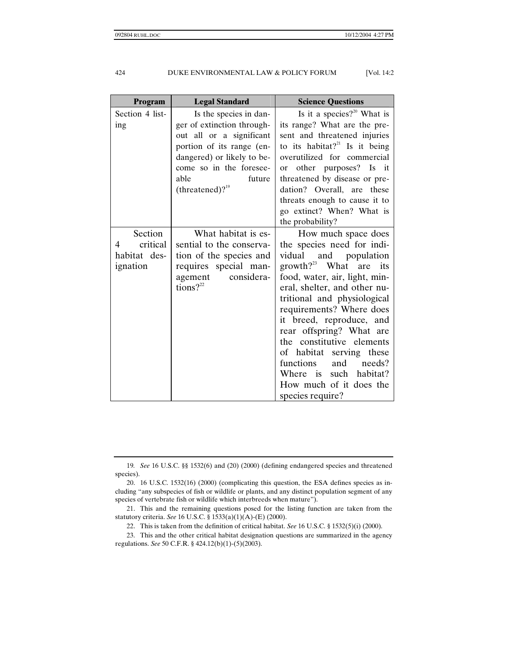| <b>Program</b>                                       | <b>Legal Standard</b>                                                                                                                                                                                          | <b>Science Questions</b>                                                                                                                                                                                                                                                                                                                                                                                                                                                |
|------------------------------------------------------|----------------------------------------------------------------------------------------------------------------------------------------------------------------------------------------------------------------|-------------------------------------------------------------------------------------------------------------------------------------------------------------------------------------------------------------------------------------------------------------------------------------------------------------------------------------------------------------------------------------------------------------------------------------------------------------------------|
| Section 4 list-<br>ing                               | Is the species in dan-<br>ger of extinction through-<br>out all or a significant<br>portion of its range (en-<br>dangered) or likely to be-<br>come so in the foresee-<br>able<br>future<br>(threatened)? $19$ | Is it a species? <sup>20</sup> What is<br>its range? What are the pre-<br>sent and threatened injuries<br>to its habitat? <sup>21</sup> Is it being<br>overutilized for commercial<br>other purposes? Is it<br><b>or</b><br>threatened by disease or pre-<br>dation? Overall, are these<br>threats enough to cause it to<br>go extinct? When? What is<br>the probability?                                                                                               |
| Section<br>critical<br>4<br>habitat des-<br>ignation | What habitat is es-<br>sential to the conserva-<br>tion of the species and<br>requires special man-<br>considera-<br>agement<br>tions? $2^{22}$                                                                | How much space does<br>the species need for indi-<br>vidual<br>and population<br>growth? $^{23}$ What are<br>its<br>food, water, air, light, min-<br>eral, shelter, and other nu-<br>tritional and physiological<br>requirements? Where does<br>it breed, reproduce, and<br>rear offspring? What are<br>the constitutive elements<br>of habitat serving these<br>and<br>functions<br>needs?<br>Where is<br>such habitat?<br>How much of it does the<br>species require? |

<sup>19</sup>*. See* 16 U.S.C. §§ 1532(6) and (20) (2000) (defining endangered species and threatened species).

 <sup>20. 16</sup> U.S.C. 1532(16) (2000) (complicating this question, the ESA defines species as including "any subspecies of fish or wildlife or plants, and any distinct population segment of any species of vertebrate fish or wildlife which interbreeds when mature").

 <sup>21.</sup> This and the remaining questions posed for the listing function are taken from the statutory criteria. *See* 16 U.S.C. § 1533(a)(1)(A)-(E) (2000).

 <sup>22.</sup> This is taken from the definition of critical habitat. *See* 16 U.S.C. § 1532(5)(i) (2000).

 <sup>23.</sup> This and the other critical habitat designation questions are summarized in the agency regulations. *See* 50 C.F.R. § 424.12(b)(1)-(5)(2003).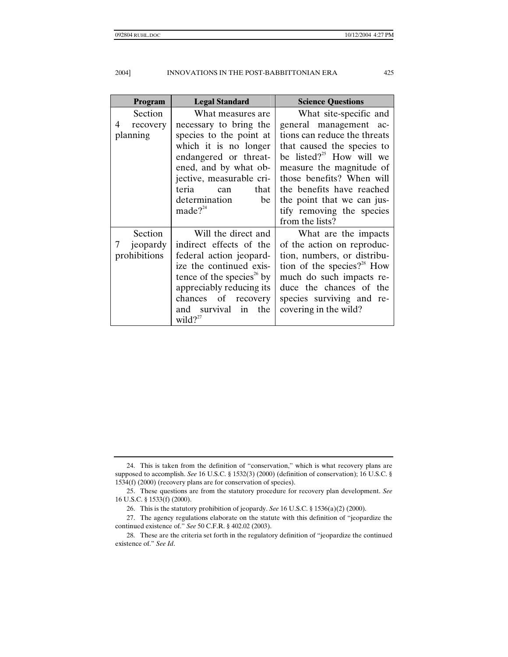| <b>Program</b> | <b>Legal Standard</b>                 | <b>Science Questions</b>               |
|----------------|---------------------------------------|----------------------------------------|
| Section        | What measures are                     | What site-specific and                 |
| recovery<br>4  | necessary to bring the                | general management ac-                 |
| planning       | species to the point at               | tions can reduce the threats           |
|                | which it is no longer                 | that caused the species to             |
|                | endangered or threat-                 | be listed? <sup>25</sup> How will we   |
|                | ened, and by what ob-                 | measure the magnitude of               |
|                | jective, measurable cri-              | those benefits? When will              |
|                | teria<br>that<br>can                  | the benefits have reached              |
|                | determination<br>be                   | the point that we can jus-             |
|                | made $?^{24}$                         | tify removing the species              |
|                |                                       | from the lists?                        |
| Section        | Will the direct and                   | What are the impacts                   |
| jeopardy       | indirect effects of the               | of the action on reproduc-             |
| prohibitions   | federal action jeopard-               | tion, numbers, or distribu-            |
|                | ize the continued exis-               | tion of the species? <sup>28</sup> How |
|                | tence of the species <sup>26</sup> by | much do such impacts re-               |
|                | appreciably reducing its              | duce the chances of the                |
|                | chances of recovery                   | species surviving and re-              |
|                | and survival in the                   | covering in the wild?                  |
|                | wild? $2^{27}$                        |                                        |

 <sup>24.</sup> This is taken from the definition of "conservation," which is what recovery plans are supposed to accomplish. *See* 16 U.S.C. § 1532(3) (2000) (definition of conservation); 16 U.S.C. § 1534(f) (2000) (recovery plans are for conservation of species).

 <sup>25.</sup> These questions are from the statutory procedure for recovery plan development. *See* 16 U.S.C. § 1533(f) (2000).

 <sup>26.</sup> This is the statutory prohibition of jeopardy. *See* 16 U.S.C. § 1536(a)(2) (2000).

 <sup>27.</sup> The agency regulations elaborate on the statute with this definition of "jeopardize the continued existence of." *See* 50 C.F.R. § 402.02 (2003).

 <sup>28.</sup> These are the criteria set forth in the regulatory definition of "jeopardize the continued existence of." *See Id*.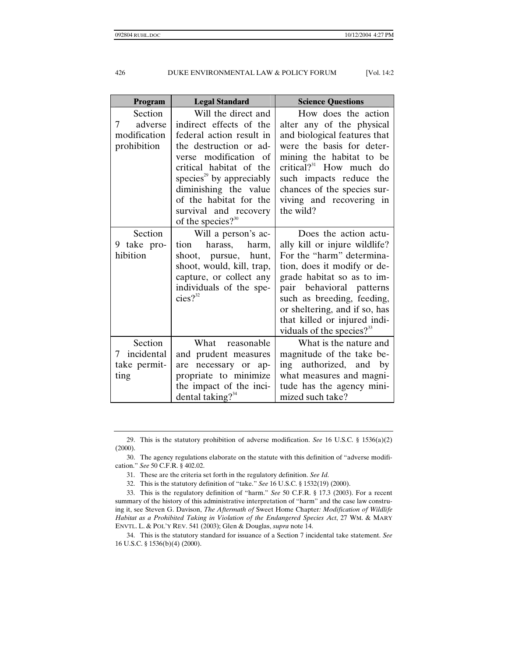| Program                                                | <b>Legal Standard</b>                                                                                                                                                                                                                                                                                | <b>Science Questions</b>                                                                                                                                                                                                                                                                                    |
|--------------------------------------------------------|------------------------------------------------------------------------------------------------------------------------------------------------------------------------------------------------------------------------------------------------------------------------------------------------------|-------------------------------------------------------------------------------------------------------------------------------------------------------------------------------------------------------------------------------------------------------------------------------------------------------------|
| Section<br>adverse<br>7<br>modification<br>prohibition | Will the direct and<br>indirect effects of the<br>federal action result in<br>the destruction or ad-<br>verse modification of<br>critical habitat of the<br>species <sup>29</sup> by appreciably<br>diminishing the value<br>of the habitat for the<br>survival and recovery<br>of the species? $30$ | How does the action<br>alter any of the physical<br>and biological features that<br>were the basis for deter-<br>mining the habitat to be<br>critical? $31$ How much do<br>such impacts reduce the<br>chances of the species sur-<br>viving and recovering in<br>the wild?                                  |
| Section<br>9 take pro-<br>hibition                     | Will a person's ac-<br>harass,<br>tion<br>harm,<br>pursue, hunt,<br>shoot,<br>shoot, would, kill, trap,<br>capture, or collect any<br>individuals of the spe-<br>$cies?$ <sup>32</sup>                                                                                                               | Does the action actu-<br>ally kill or injure wildlife?<br>For the "harm" determina-<br>tion, does it modify or de-<br>grade habitat so as to im-<br>pair behavioral patterns<br>such as breeding, feeding,<br>or sheltering, and if so, has<br>that killed or injured indi-<br>viduals of the species? $33$ |
| Section<br>incidental<br>7<br>take permit-<br>ting     | What<br>reasonable<br>and prudent measures<br>necessary or ap-<br>are<br>propriate to minimize<br>the impact of the inci-<br>dental taking? $34$                                                                                                                                                     | What is the nature and<br>magnitude of the take be-<br>authorized, and by<br>ing<br>what measures and magni-<br>tude has the agency mini-<br>mized such take?                                                                                                                                               |

 <sup>29.</sup> This is the statutory prohibition of adverse modification. *See* 16 U.S.C. § 1536(a)(2) (2000).

 <sup>30.</sup> The agency regulations elaborate on the statute with this definition of "adverse modification." *See* 50 C.F.R. § 402.02.

 <sup>31.</sup> These are the criteria set forth in the regulatory definition. *See Id*.

 <sup>32.</sup> This is the statutory definition of "take." *See* 16 U.S.C. § 1532(19) (2000).

 <sup>33.</sup> This is the regulatory definition of "harm." *See* 50 C.F.R. § 17.3 (2003). For a recent summary of the history of this administrative interpretation of "harm" and the case law construing it, see Steven G. Davison, *The Aftermath of* Sweet Home Chapter*: Modification of Wildlife Habitat as a Prohibited Taking in Violation of the Endangered Species Act*, 27 WM. & MARY ENVTL. L. & POL'Y REV. 541 (2003); Glen & Douglas, *supra* note 14.

 <sup>34.</sup> This is the statutory standard for issuance of a Section 7 incidental take statement. *See* 16 U.S.C. § 1536(b)(4) (2000).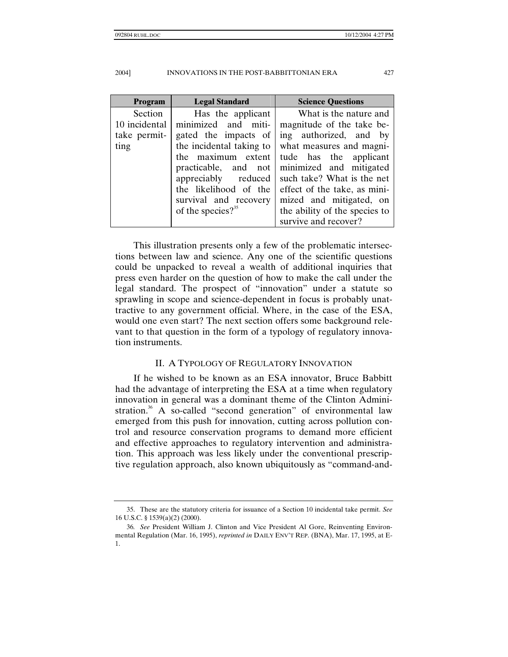| Program       | <b>Legal Standard</b>    | <b>Science Questions</b>      |
|---------------|--------------------------|-------------------------------|
| Section       | Has the applicant        | What is the nature and        |
| 10 incidental | minimized and miti-      | magnitude of the take be-     |
| take permit-  | gated the impacts of     | ing authorized, and by        |
| ting          | the incidental taking to | what measures and magni-      |
|               | the maximum extent       | tude has the applicant        |
|               | practicable, and not     | minimized and mitigated       |
|               | appreciably reduced      | such take? What is the net    |
|               | the likelihood of the    | effect of the take, as mini-  |
|               | survival and recovery    | mized and mitigated, on       |
|               | of the species? $35$     | the ability of the species to |
|               |                          | survive and recover?          |

This illustration presents only a few of the problematic intersections between law and science. Any one of the scientific questions could be unpacked to reveal a wealth of additional inquiries that press even harder on the question of how to make the call under the legal standard. The prospect of "innovation" under a statute so sprawling in scope and science-dependent in focus is probably unattractive to any government official. Where, in the case of the ESA, would one even start? The next section offers some background relevant to that question in the form of a typology of regulatory innovation instruments.

## II. A TYPOLOGY OF REGULATORY INNOVATION

If he wished to be known as an ESA innovator, Bruce Babbitt had the advantage of interpreting the ESA at a time when regulatory innovation in general was a dominant theme of the Clinton Administration.<sup>36</sup> A so-called "second generation" of environmental law emerged from this push for innovation, cutting across pollution control and resource conservation programs to demand more efficient and effective approaches to regulatory intervention and administration. This approach was less likely under the conventional prescriptive regulation approach, also known ubiquitously as "command-and-

 <sup>35.</sup> These are the statutory criteria for issuance of a Section 10 incidental take permit. *See* 16 U.S.C. § 1539(a)(2) (2000).

<sup>36</sup>*. See* President William J. Clinton and Vice President Al Gore, Reinventing Environmental Regulation (Mar. 16, 1995), *reprinted in* DAILY ENV'T REP. (BNA), Mar. 17, 1995, at E-1.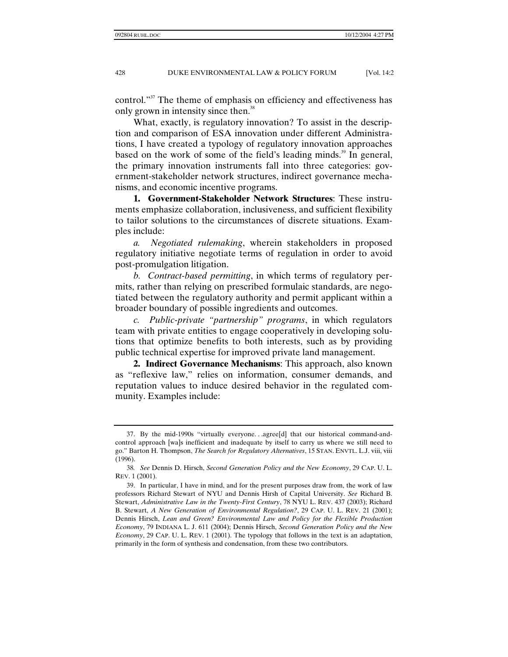control."<sup>37</sup> The theme of emphasis on efficiency and effectiveness has only grown in intensity since then.<sup>38</sup>

What, exactly, is regulatory innovation? To assist in the description and comparison of ESA innovation under different Administrations, I have created a typology of regulatory innovation approaches based on the work of some of the field's leading minds.<sup>39</sup> In general, the primary innovation instruments fall into three categories: government-stakeholder network structures, indirect governance mechanisms, and economic incentive programs.

**1. Government-Stakeholder Network Structures**: These instruments emphasize collaboration, inclusiveness, and sufficient flexibility to tailor solutions to the circumstances of discrete situations. Examples include:

*a. Negotiated rulemaking*, wherein stakeholders in proposed regulatory initiative negotiate terms of regulation in order to avoid post-promulgation litigation.

*b. Contract-based permitting*, in which terms of regulatory permits, rather than relying on prescribed formulaic standards, are negotiated between the regulatory authority and permit applicant within a broader boundary of possible ingredients and outcomes.

*c. Public-private "partnership" programs*, in which regulators team with private entities to engage cooperatively in developing solutions that optimize benefits to both interests, such as by providing public technical expertise for improved private land management.

**2. Indirect Governance Mechanisms**: This approach, also known as "reflexive law," relies on information, consumer demands, and reputation values to induce desired behavior in the regulated community. Examples include:

 <sup>37.</sup> By the mid-1990s "virtually everyone. . .agree[d] that our historical command-andcontrol approach [wa]s inefficient and inadequate by itself to carry us where we still need to go." Barton H. Thompson, *The Search for Regulatory Alternatives*, 15 STAN. ENVTL. L.J. viii, viii (1996).

<sup>38</sup>*. See* Dennis D. Hirsch, *Second Generation Policy and the New Economy*, 29 CAP. U. L. REV. 1 (2001).

 <sup>39.</sup> In particular, I have in mind, and for the present purposes draw from, the work of law professors Richard Stewart of NYU and Dennis Hirsh of Capital University. *See* Richard B. Stewart, *Administrative Law in the Twenty-First Century*, 78 NYU L. REV. 437 (2003); Richard B. Stewart, *A New Generation of Environmental Regulation?*, 29 CAP. U. L. REV. 21 (2001); Dennis Hirsch, *Lean and Green? Environmental Law and Policy for the Flexible Production Economy*, 79 INDIANA L. J. 611 (2004); Dennis Hirsch, *Second Generation Policy and the New Economy*, 29 CAP. U. L. REV. 1 (2001). The typology that follows in the text is an adaptation, primarily in the form of synthesis and condensation, from these two contributors.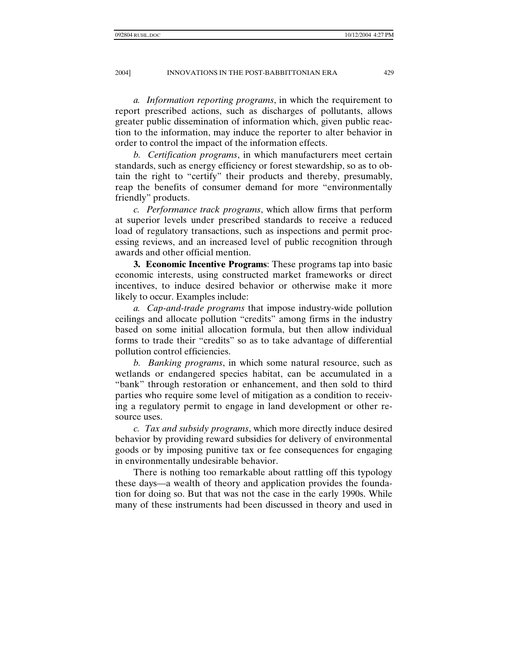*a. Information reporting programs*, in which the requirement to report prescribed actions, such as discharges of pollutants, allows greater public dissemination of information which, given public reaction to the information, may induce the reporter to alter behavior in order to control the impact of the information effects.

*b. Certification programs*, in which manufacturers meet certain standards, such as energy efficiency or forest stewardship, so as to obtain the right to "certify" their products and thereby, presumably, reap the benefits of consumer demand for more "environmentally friendly" products.

*c. Performance track programs*, which allow firms that perform at superior levels under prescribed standards to receive a reduced load of regulatory transactions, such as inspections and permit processing reviews, and an increased level of public recognition through awards and other official mention.

**3. Economic Incentive Programs**: These programs tap into basic economic interests, using constructed market frameworks or direct incentives, to induce desired behavior or otherwise make it more likely to occur. Examples include:

*a. Cap-and-trade programs* that impose industry-wide pollution ceilings and allocate pollution "credits" among firms in the industry based on some initial allocation formula, but then allow individual forms to trade their "credits" so as to take advantage of differential pollution control efficiencies.

*b. Banking programs*, in which some natural resource, such as wetlands or endangered species habitat, can be accumulated in a "bank" through restoration or enhancement, and then sold to third parties who require some level of mitigation as a condition to receiving a regulatory permit to engage in land development or other resource uses.

*c. Tax and subsidy programs*, which more directly induce desired behavior by providing reward subsidies for delivery of environmental goods or by imposing punitive tax or fee consequences for engaging in environmentally undesirable behavior.

There is nothing too remarkable about rattling off this typology these days—a wealth of theory and application provides the foundation for doing so. But that was not the case in the early 1990s. While many of these instruments had been discussed in theory and used in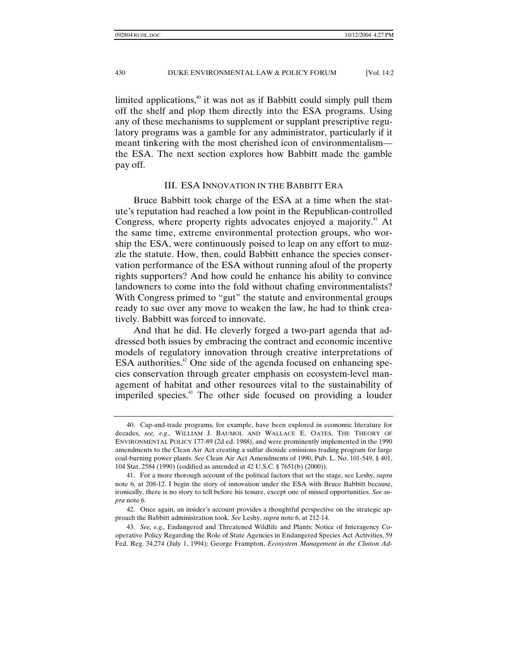limited applications, $\frac{40}{3}$  it was not as if Babbitt could simply pull them off the shelf and plop them directly into the ESA programs. Using any of these mechanisms to supplement or supplant prescriptive regulatory programs was a gamble for any administrator, particularly if it meant tinkering with the most cherished icon of environmentalism the ESA. The next section explores how Babbitt made the gamble pay off.

#### III. ESA INNOVATION IN THE BABBITT ERA

Bruce Babbitt took charge of the ESA at a time when the statute's reputation had reached a low point in the Republican-controlled Congress, where property rights advocates enjoyed a majority.<sup>41</sup> At the same time, extreme environmental protection groups, who worship the ESA, were continuously poised to leap on any effort to muzzle the statute. How, then, could Babbitt enhance the species conservation performance of the ESA without running afoul of the property rights supporters? And how could he enhance his ability to convince landowners to come into the fold without chafing environmentalists? With Congress primed to "gut" the statute and environmental groups ready to sue over any move to weaken the law, he had to think creatively. Babbitt was forced to innovate.

And that he did. He cleverly forged a two-part agenda that addressed both issues by embracing the contract and economic incentive models of regulatory innovation through creative interpretations of ESA authorities.<sup>42</sup> One side of the agenda focused on enhancing species conservation through greater emphasis on ecosystem-level management of habitat and other resources vital to the sustainability of imperiled species.<sup>43</sup> The other side focused on providing a louder

 <sup>40.</sup> Cap-and-trade programs, for example, have been explored in economic literature for decades, *see, e.g*., WILLIAM J. BAUMOL AND WALLACE E. OATES, THE THEORY OF ENVIRONMENTAL POLICY 177-89 (2d ed. 1988), and were prominently implemented in the 1990 amendments to the Clean Air Act creating a sulfur dioxide emissions trading program for large coal-burning power plants. *See* Clean Air Act Amendments of 1990, Pub. L. No. 101-549, § 401, 104 Stat. 2584 (1990) (codified as amended at 42 U.S.C. § 7651(b) (2000)).

 <sup>41.</sup> For a more thorough account of the political factors that set the stage, see Leshy, *supra* note 6, at 208-12. I begin the story of innovation under the ESA with Bruce Babbitt because, ironically, there is no story to tell before his tenure, except one of missed opportunities. *See supra* note 6.

 <sup>42.</sup> Once again, an insider's account provides a thoughtful perspective on the strategic approach the Babbitt administration took. *See* Leshy, *supra* note 6, at 212-14.

<sup>43</sup>*. See, e.g.,* Endangered and Threatened Wildlife and Plants: Notice of Interagency Cooperative Policy Regarding the Role of State Agencies in Endangered Species Act Activities, 59 Fed. Reg. 34,274 (July 1, 1994); George Frampton, *Ecosystem Management in the Clinton Ad-*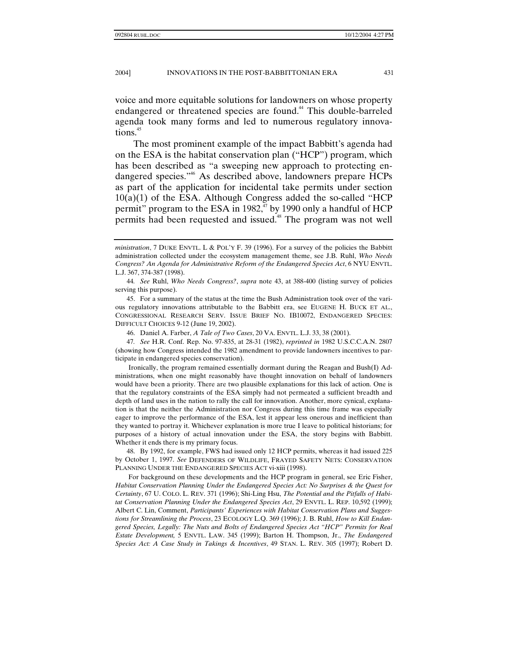voice and more equitable solutions for landowners on whose property endangered or threatened species are found.<sup>44</sup> This double-barreled agenda took many forms and led to numerous regulatory innovations.<sup>45</sup>

The most prominent example of the impact Babbitt's agenda had on the ESA is the habitat conservation plan ("HCP") program, which has been described as "a sweeping new approach to protecting endangered species."<sup>46</sup> As described above, landowners prepare HCPs as part of the application for incidental take permits under section 10(a)(1) of the ESA. Although Congress added the so-called "HCP permit" program to the ESA in 1982,<sup>47</sup> by 1990 only a handful of HCP permits had been requested and issued.<sup>48</sup> The program was not well

 45. For a summary of the status at the time the Bush Administration took over of the various regulatory innovations attributable to the Babbitt era, see EUGENE H. BUCK ET AL., CONGRESSIONAL RESEARCH SERV. ISSUE BRIEF NO. IB10072, ENDANGERED SPECIES: DIFFICULT CHOICES 9-12 (June 19, 2002).

46. Daniel A. Farber, *A Tale of Two Cases*, 20 VA. ENVTL. L.J. 33, 38 (2001).

47*. See* H.R. Conf. Rep. No. 97-835, at 28-31 (1982), *reprinted in* 1982 U.S.C.C.A.N. 2807 (showing how Congress intended the 1982 amendment to provide landowners incentives to participate in endangered species conservation).

Ironically, the program remained essentially dormant during the Reagan and Bush(I) Administrations, when one might reasonably have thought innovation on behalf of landowners would have been a priority. There are two plausible explanations for this lack of action. One is that the regulatory constraints of the ESA simply had not permeated a sufficient breadth and depth of land uses in the nation to rally the call for innovation. Another, more cynical, explanation is that the neither the Administration nor Congress during this time frame was especially eager to improve the performance of the ESA, lest it appear less onerous and inefficient than they wanted to portray it. Whichever explanation is more true I leave to political historians; for purposes of a history of actual innovation under the ESA, the story begins with Babbitt. Whether it ends there is my primary focus.

 48. By 1992, for example, FWS had issued only 12 HCP permits, whereas it had issued 225 by October 1, 1997. *See* DEFENDERS OF WILDLIFE, FRAYED SAFETY NETS: CONSERVATION PLANNING UNDER THE ENDANGERED SPECIES ACT vi-xiii (1998).

For background on these developments and the HCP program in general, see Eric Fisher, *Habitat Conservation Planning Under the Endangered Species Act: No Surprises & the Quest for Certainty*, 67 U. COLO. L. REV. 371 (1996); Shi-Ling Hsu, *The Potential and the Pitfalls of Habitat Conservation Planning Under the Endangered Species Act*, 29 ENVTL. L. REP. 10,592 (1999); Albert C. Lin, Comment, *Participants' Experiences with Habitat Conservation Plans and Suggestions for Streamlining the Process*, 23 ECOLOGY L.Q. 369 (1996); J. B. Ruhl, *How to Kill Endangered Species, Legally: The Nuts and Bolts of Endangered Species Act "HCP" Permits for Real Estate Development,* 5 ENVTL. LAW. 345 (1999); Barton H. Thompson, Jr., *The Endangered Species Act: A Case Study in Takings & Incentives*, 49 STAN. L. REV. 305 (1997); Robert D.

*ministration*, 7 DUKE ENVTL. L & POL'Y F. 39 (1996). For a survey of the policies the Babbitt administration collected under the ecosystem management theme, see J.B. Ruhl, *Who Needs Congress? An Agenda for Administrative Reform of the Endangered Species Act*, 6 NYU ENVTL. L.J. 367, 374-387 (1998).

<sup>44</sup>*. See* Ruhl, *Who Needs Congress?*, *supra* note 43, at 388-400 (listing survey of policies serving this purpose).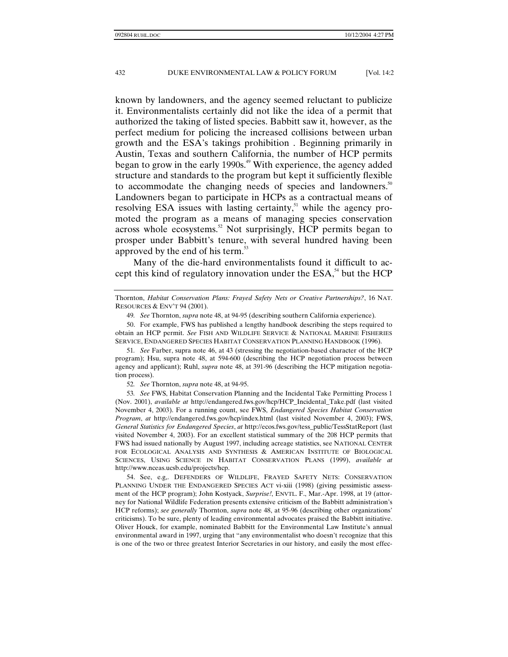known by landowners, and the agency seemed reluctant to publicize it. Environmentalists certainly did not like the idea of a permit that authorized the taking of listed species. Babbitt saw it, however, as the perfect medium for policing the increased collisions between urban growth and the ESA's takings prohibition . Beginning primarily in Austin, Texas and southern California, the number of HCP permits began to grow in the early 1990s.<sup> $49$ </sup> With experience, the agency added structure and standards to the program but kept it sufficiently flexible to accommodate the changing needs of species and landowners.<sup>50</sup> Landowners began to participate in HCPs as a contractual means of resolving ESA issues with lasting certainty, $51$  while the agency promoted the program as a means of managing species conservation across whole ecosystems.<sup>52</sup> Not surprisingly, HCP permits began to prosper under Babbitt's tenure, with several hundred having been approved by the end of his term.<sup>53</sup>

Many of the die-hard environmentalists found it difficult to accept this kind of regulatory innovation under the  $ESA^{\text{54}}$  but the HCP

Thornton, *Habitat Conservation Plans: Frayed Safety Nets or Creative Partnerships?*, 16 NAT. RESOURCES & ENV'T 94 (2001).

49*. See* Thornton, *supra* note 48, at 94-95 (describing southern California experience).

 50. For example, FWS has published a lengthy handbook describing the steps required to obtain an HCP permit. *See* FISH AND WILDLIFE SERVICE & NATIONAL MARINE FISHERIES SERVICE, ENDANGERED SPECIES HABITAT CONSERVATION PLANNING HANDBOOK (1996).

51*. See* Farber, supra note 46, at 43 (stressing the negotiation-based character of the HCP program); Hsu, supra note 48, at 594-600 (describing the HCP negotiation process between agency and applicant); Ruhl, *supra* note 48, at 391-96 (describing the HCP mitigation negotiation process).

52*. See* Thornton, *supra* note 48, at 94-95.

53*. See* FWS, Habitat Conservation Planning and the Incidental Take Permitting Process 1 (Nov. 2001), *available at* http://endangered.fws.gov/hcp/HCP\_Incidental\_Take.pdf (last visited November 4, 2003). For a running count, see FWS, *Endangered Species Habitat Conservation Program*, *at* http://endangered.fws.gov/hcp/index.html (last visited November 4, 2003); FWS, *General Statistics for Endangered Species*, *at* http://ecos.fws.gov/tess\_public/TessStatReport (last visited November 4, 2003). For an excellent statistical summary of the 208 HCP permits that FWS had issued nationally by August 1997, including acreage statistics, see NATIONAL CENTER FOR ECOLOGICAL ANALYSIS AND SYNTHESIS & AMERICAN INSTITUTE OF BIOLOGICAL SCIENCES, USING SCIENCE IN HABITAT CONSERVATION PLANS (1999), *available at* http://www.nceas.ucsb.edu/projects/hcp.

 54. See, e.g,. DEFENDERS OF WILDLIFE, FRAYED SAFETY NETS: CONSERVATION PLANNING UNDER THE ENDANGERED SPECIES ACT vi-xiii (1998) (giving pessimistic assessment of the HCP program); John Kostyack, *Surprise!*, ENVTL. F., Mar.-Apr. 1998, at 19 (attorney for National Wildlife Federation presents extensive criticism of the Babbitt administration's HCP reforms); *see generally* Thornton, *supra* note 48, at 95-96 (describing other organizations' criticisms). To be sure, plenty of leading environmental advocates praised the Babbitt initiative. Oliver Houck, for example, nominated Babbitt for the Environmental Law Institute's annual environmental award in 1997, urging that "any environmentalist who doesn't recognize that this is one of the two or three greatest Interior Secretaries in our history, and easily the most effec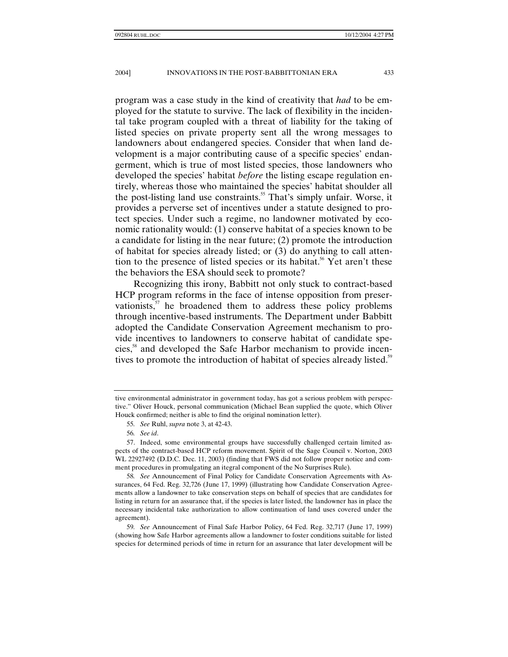program was a case study in the kind of creativity that *had* to be employed for the statute to survive. The lack of flexibility in the incidental take program coupled with a threat of liability for the taking of listed species on private property sent all the wrong messages to landowners about endangered species. Consider that when land development is a major contributing cause of a specific species' endangerment, which is true of most listed species, those landowners who developed the species' habitat *before* the listing escape regulation entirely, whereas those who maintained the species' habitat shoulder all the post-listing land use constraints.<sup>55</sup> That's simply unfair. Worse, it provides a perverse set of incentives under a statute designed to protect species. Under such a regime, no landowner motivated by economic rationality would: (1) conserve habitat of a species known to be a candidate for listing in the near future; (2) promote the introduction of habitat for species already listed; or (3) do anything to call attention to the presence of listed species or its habitat.<sup>56</sup> Yet aren't these the behaviors the ESA should seek to promote?

Recognizing this irony, Babbitt not only stuck to contract-based HCP program reforms in the face of intense opposition from preservationists, $5<sup>57</sup>$  he broadened them to address these policy problems through incentive-based instruments. The Department under Babbitt adopted the Candidate Conservation Agreement mechanism to provide incentives to landowners to conserve habitat of candidate species,<sup>58</sup> and developed the Safe Harbor mechanism to provide incentives to promote the introduction of habitat of species already listed.<sup>39</sup>

tive environmental administrator in government today, has got a serious problem with perspective." Oliver Houck, personal communication (Michael Bean supplied the quote, which Oliver Houck confirmed; neither is able to find the original nomination letter).

<sup>55</sup>*. See* Ruhl, *supra* note 3, at 42-43.

<sup>56</sup>*. See id*.

 <sup>57.</sup> Indeed, some environmental groups have successfully challenged certain limited aspects of the contract-based HCP reform movement. Spirit of the Sage Council v. Norton, 2003 WL 22927492 (D.D.C. Dec. 11, 2003) (finding that FWS did not follow proper notice and comment procedures in promulgating an itegral component of the No Surprises Rule).

<sup>58</sup>*. See* Announcement of Final Policy for Candidate Conservation Agreements with Assurances, 64 Fed. Reg. 32,726 (June 17, 1999) (illustrating how Candidate Conservation Agreements allow a landowner to take conservation steps on behalf of species that are candidates for listing in return for an assurance that, if the species is later listed, the landowner has in place the necessary incidental take authorization to allow continuation of land uses covered under the agreement).

<sup>59</sup>*. See* Announcement of Final Safe Harbor Policy, 64 Fed. Reg. 32,717 (June 17, 1999) (showing how Safe Harbor agreements allow a landowner to foster conditions suitable for listed species for determined periods of time in return for an assurance that later development will be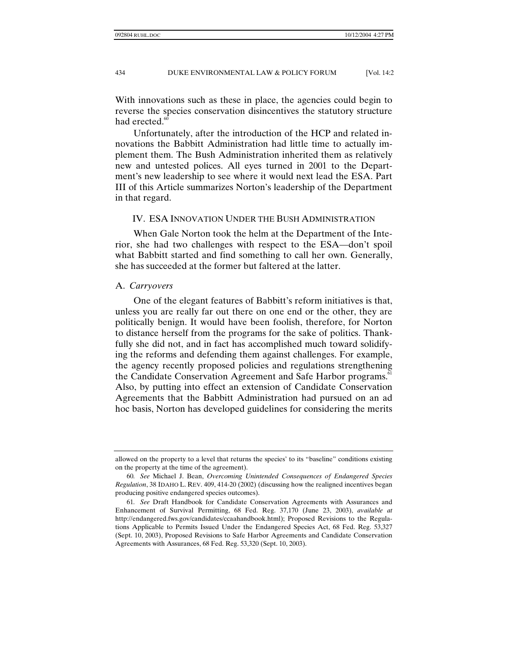With innovations such as these in place, the agencies could begin to reverse the species conservation disincentives the statutory structure had erected. $60$ 

Unfortunately, after the introduction of the HCP and related innovations the Babbitt Administration had little time to actually implement them. The Bush Administration inherited them as relatively new and untested polices. All eyes turned in 2001 to the Department's new leadership to see where it would next lead the ESA. Part III of this Article summarizes Norton's leadership of the Department in that regard.

### IV. ESA INNOVATION UNDER THE BUSH ADMINISTRATION

When Gale Norton took the helm at the Department of the Interior, she had two challenges with respect to the ESA—don't spoil what Babbitt started and find something to call her own. Generally, she has succeeded at the former but faltered at the latter.

#### A. *Carryovers*

One of the elegant features of Babbitt's reform initiatives is that, unless you are really far out there on one end or the other, they are politically benign. It would have been foolish, therefore, for Norton to distance herself from the programs for the sake of politics. Thankfully she did not, and in fact has accomplished much toward solidifying the reforms and defending them against challenges. For example, the agency recently proposed policies and regulations strengthening the Candidate Conservation Agreement and Safe Harbor programs.<sup>11</sup> Also, by putting into effect an extension of Candidate Conservation Agreements that the Babbitt Administration had pursued on an ad hoc basis, Norton has developed guidelines for considering the merits

allowed on the property to a level that returns the species' to its "baseline" conditions existing on the property at the time of the agreement).

<sup>60</sup>*. See* Michael J. Bean, *Overcoming Unintended Consequences of Endangered Species Regulation*, 38 IDAHO L. REV. 409, 414-20 (2002) (discussing how the realigned incentives began producing positive endangered species outcomes).

<sup>61</sup>*. See* Draft Handbook for Candidate Conservation Agreements with Assurances and Enhancement of Survival Permitting, 68 Fed. Reg. 37,170 (June 23, 2003), *available at* http://endangered.fws.gov/candidates/ccaahandbook.html); Proposed Revisions to the Regulations Applicable to Permits Issued Under the Endangered Species Act, 68 Fed. Reg. 53,327 (Sept. 10, 2003), Proposed Revisions to Safe Harbor Agreements and Candidate Conservation Agreements with Assurances, 68 Fed. Reg. 53,320 (Sept. 10, 2003).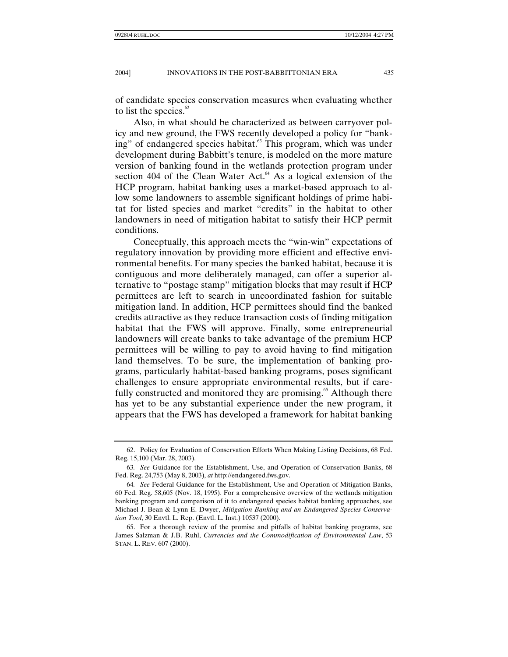of candidate species conservation measures when evaluating whether to list the species. $\frac{62}{2}$ 

Also, in what should be characterized as between carryover policy and new ground, the FWS recently developed a policy for "banking" of endangered species habitat.<sup>63</sup> This program, which was under development during Babbitt's tenure, is modeled on the more mature version of banking found in the wetlands protection program under section 404 of the Clean Water Act. $^{64}$  As a logical extension of the HCP program, habitat banking uses a market-based approach to allow some landowners to assemble significant holdings of prime habitat for listed species and market "credits" in the habitat to other landowners in need of mitigation habitat to satisfy their HCP permit conditions.

Conceptually, this approach meets the "win-win" expectations of regulatory innovation by providing more efficient and effective environmental benefits. For many species the banked habitat, because it is contiguous and more deliberately managed, can offer a superior alternative to "postage stamp" mitigation blocks that may result if HCP permittees are left to search in uncoordinated fashion for suitable mitigation land. In addition, HCP permittees should find the banked credits attractive as they reduce transaction costs of finding mitigation habitat that the FWS will approve. Finally, some entrepreneurial landowners will create banks to take advantage of the premium HCP permittees will be willing to pay to avoid having to find mitigation land themselves. To be sure, the implementation of banking programs, particularly habitat-based banking programs, poses significant challenges to ensure appropriate environmental results, but if carefully constructed and monitored they are promising.<sup>65</sup> Although there has yet to be any substantial experience under the new program, it appears that the FWS has developed a framework for habitat banking

 <sup>62.</sup> Policy for Evaluation of Conservation Efforts When Making Listing Decisions, 68 Fed. Reg. 15,100 (Mar. 28, 2003).

<sup>63</sup>*. See* Guidance for the Establishment, Use, and Operation of Conservation Banks, 68 Fed. Reg. 24,753 (May 8, 2003), *at* http://endangered.fws.gov.

<sup>64</sup>*. See* Federal Guidance for the Establishment, Use and Operation of Mitigation Banks, 60 Fed. Reg. 58,605 (Nov. 18, 1995). For a comprehensive overview of the wetlands mitigation banking program and comparison of it to endangered species habitat banking approaches, see Michael J. Bean & Lynn E. Dwyer, *Mitigation Banking and an Endangered Species Conservation Tool*, 30 Envtl. L. Rep. (Envtl. L. Inst.) 10537 (2000).

 <sup>65.</sup> For a thorough review of the promise and pitfalls of habitat banking programs, see James Salzman & J.B. Ruhl, *Currencies and the Commodification of Environmental Law*, 53 STAN. L. REV. 607 (2000).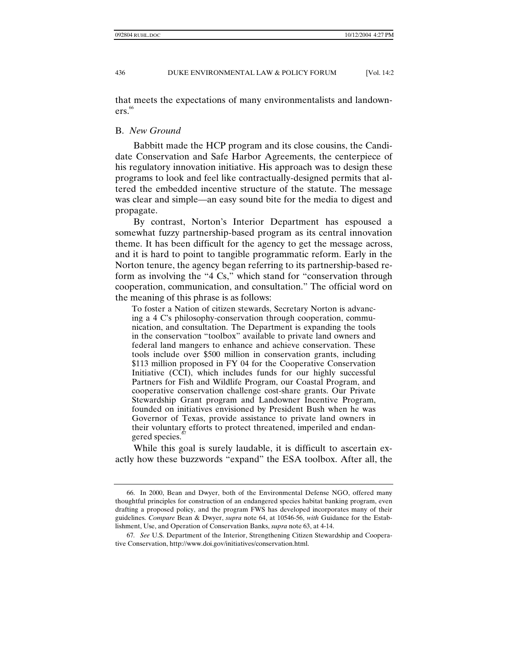that meets the expectations of many environmentalists and landown $ers.<sup>66</sup>$ 

#### B. *New Ground*

Babbitt made the HCP program and its close cousins, the Candidate Conservation and Safe Harbor Agreements, the centerpiece of his regulatory innovation initiative. His approach was to design these programs to look and feel like contractually-designed permits that altered the embedded incentive structure of the statute. The message was clear and simple—an easy sound bite for the media to digest and propagate.

By contrast, Norton's Interior Department has espoused a somewhat fuzzy partnership-based program as its central innovation theme. It has been difficult for the agency to get the message across, and it is hard to point to tangible programmatic reform. Early in the Norton tenure, the agency began referring to its partnership-based reform as involving the "4 Cs," which stand for "conservation through cooperation, communication, and consultation." The official word on the meaning of this phrase is as follows:

To foster a Nation of citizen stewards, Secretary Norton is advancing a 4 C's philosophy-conservation through cooperation, communication, and consultation. The Department is expanding the tools in the conservation "toolbox" available to private land owners and federal land mangers to enhance and achieve conservation. These tools include over \$500 million in conservation grants, including \$113 million proposed in FY 04 for the Cooperative Conservation Initiative (CCI), which includes funds for our highly successful Partners for Fish and Wildlife Program, our Coastal Program, and cooperative conservation challenge cost-share grants. Our Private Stewardship Grant program and Landowner Incentive Program, founded on initiatives envisioned by President Bush when he was Governor of Texas, provide assistance to private land owners in their voluntary efforts to protect threatened, imperiled and endangered species.<sup>8</sup>

While this goal is surely laudable, it is difficult to ascertain exactly how these buzzwords "expand" the ESA toolbox. After all, the

 <sup>66.</sup> In 2000, Bean and Dwyer, both of the Environmental Defense NGO, offered many thoughtful principles for construction of an endangered species habitat banking program, even drafting a proposed policy, and the program FWS has developed incorporates many of their guidelines. *Compare* Bean & Dwyer, *supra* note 64, at 10546-56, *with* Guidance for the Establishment, Use, and Operation of Conservation Banks, *supra* note 63, at 4-14.

<sup>67</sup>*. See* U.S. Department of the Interior, Strengthening Citizen Stewardship and Cooperative Conservation, http://www.doi.gov/initiatives/conservation.html.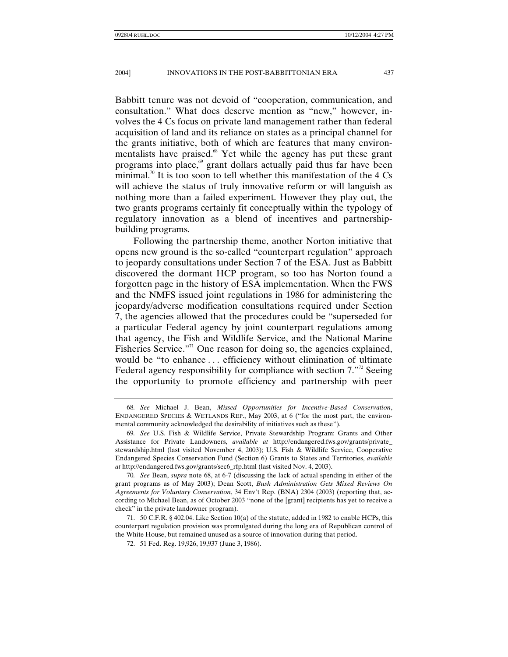Babbitt tenure was not devoid of "cooperation, communication, and consultation." What does deserve mention as "new," however, involves the 4 Cs focus on private land management rather than federal acquisition of land and its reliance on states as a principal channel for the grants initiative, both of which are features that many environmentalists have praised.<sup>68</sup> Yet while the agency has put these grant programs into place, $\theta$  grant dollars actually paid thus far have been minimal.<sup>70</sup> It is too soon to tell whether this manifestation of the 4  $Cs$ will achieve the status of truly innovative reform or will languish as nothing more than a failed experiment. However they play out, the two grants programs certainly fit conceptually within the typology of regulatory innovation as a blend of incentives and partnershipbuilding programs.

Following the partnership theme, another Norton initiative that opens new ground is the so-called "counterpart regulation" approach to jeopardy consultations under Section 7 of the ESA. Just as Babbitt discovered the dormant HCP program, so too has Norton found a forgotten page in the history of ESA implementation. When the FWS and the NMFS issued joint regulations in 1986 for administering the jeopardy/adverse modification consultations required under Section 7, the agencies allowed that the procedures could be "superseded for a particular Federal agency by joint counterpart regulations among that agency, the Fish and Wildlife Service, and the National Marine Fisheries Service."<sup>1</sup> One reason for doing so, the agencies explained, would be "to enhance . . . efficiency without elimination of ultimate Federal agency responsibility for compliance with section  $7.^{172}$  Seeing the opportunity to promote efficiency and partnership with peer

<sup>68</sup>*. See* Michael J. Bean, *Missed Opportunities for Incentive-Based Conservation*, ENDANGERED SPECIES & WETLANDS REP., May 2003, at 6 ("for the most part, the environmental community acknowledged the desirability of initiatives such as these").

<sup>69</sup>*. See* U.S. Fish & Wildlife Service, Private Stewardship Program: Grants and Other Assistance for Private Landowners, *available at* http://endangered.fws.gov/grants/private\_ stewardship.html (last visited November 4, 2003); U.S. Fish & Wildlife Service, Cooperative Endangered Species Conservation Fund (Section 6) Grants to States and Territories, *available at* http://endangered.fws.gov/grants/sec6\_rfp.html (last visited Nov. 4, 2003).

<sup>70</sup>*. See* Bean, *supra* note 68, at 6-7 (discussing the lack of actual spending in either of the grant programs as of May 2003); Dean Scott, *Bush Administration Gets Mixed Reviews On Agreements for Voluntary Conservation*, 34 Env't Rep. (BNA) 2304 (2003) (reporting that, according to Michael Bean, as of October 2003 "none of the [grant] recipients has yet to receive a check" in the private landowner program).

 <sup>71. 50</sup> C.F.R. § 402.04. Like Section 10(a) of the statute, added in 1982 to enable HCPs, this counterpart regulation provision was promulgated during the long era of Republican control of the White House, but remained unused as a source of innovation during that period.

 <sup>72. 51</sup> Fed. Reg. 19,926, 19,937 (June 3, 1986).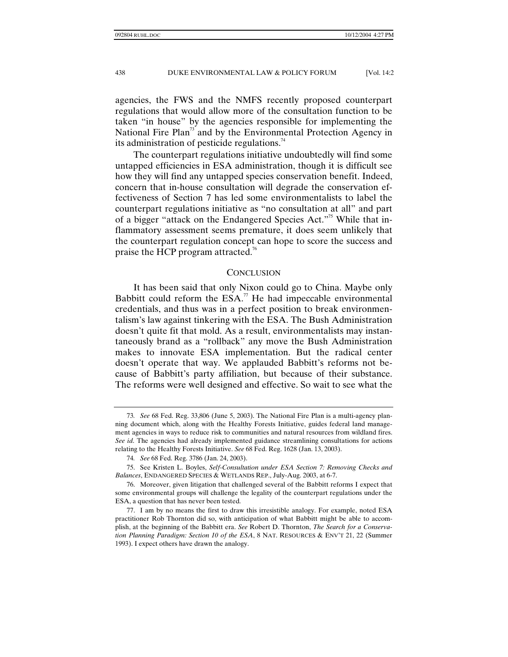agencies, the FWS and the NMFS recently proposed counterpart regulations that would allow more of the consultation function to be taken "in house" by the agencies responsible for implementing the National Fire Plan<sup>73</sup> and by the Environmental Protection Agency in its administration of pesticide regulations.<sup>74</sup>

The counterpart regulations initiative undoubtedly will find some untapped efficiencies in ESA administration, though it is difficult see how they will find any untapped species conservation benefit. Indeed, concern that in-house consultation will degrade the conservation effectiveness of Section 7 has led some environmentalists to label the counterpart regulations initiative as "no consultation at all" and part of a bigger "attack on the Endangered Species Act."<sup>75</sup> While that inflammatory assessment seems premature, it does seem unlikely that the counterpart regulation concept can hope to score the success and praise the HCP program attracted.<sup>76</sup>

#### **CONCLUSION**

It has been said that only Nixon could go to China. Maybe only Babbitt could reform the  $ESA$ .<sup>77</sup> He had impeccable environmental credentials, and thus was in a perfect position to break environmentalism's law against tinkering with the ESA. The Bush Administration doesn't quite fit that mold. As a result, environmentalists may instantaneously brand as a "rollback" any move the Bush Administration makes to innovate ESA implementation. But the radical center doesn't operate that way. We applauded Babbitt's reforms not because of Babbitt's party affiliation, but because of their substance. The reforms were well designed and effective. So wait to see what the

<sup>73</sup>*. See* 68 Fed. Reg. 33,806 (June 5, 2003). The National Fire Plan is a multi-agency planning document which, along with the Healthy Forests Initiative, guides federal land management agencies in ways to reduce risk to communities and natural resources from wildland fires. *See id*. The agencies had already implemented guidance streamlining consultations for actions relating to the Healthy Forests Initiative. *See* 68 Fed. Reg. 1628 (Jan. 13, 2003).

<sup>74</sup>*. See* 68 Fed. Reg. 3786 (Jan. 24, 2003).

 <sup>75.</sup> See Kristen L. Boyles, *Self-Consultation under ESA Section 7: Removing Checks and Balances*, ENDANGERED SPECIES & WETLANDS REP., July-Aug. 2003, at 6-7.

 <sup>76.</sup> Moreover, given litigation that challenged several of the Babbitt reforms I expect that some environmental groups will challenge the legality of the counterpart regulations under the ESA, a question that has never been tested.

 <sup>77.</sup> I am by no means the first to draw this irresistible analogy. For example, noted ESA practitioner Rob Thornton did so, with anticipation of what Babbitt might be able to accomplish, at the beginning of the Babbitt era. *See* Robert D. Thornton, *The Search for a Conservation Planning Paradigm: Section 10 of the ESA*, 8 NAT. RESOURCES & ENV'T 21, 22 (Summer 1993). I expect others have drawn the analogy.